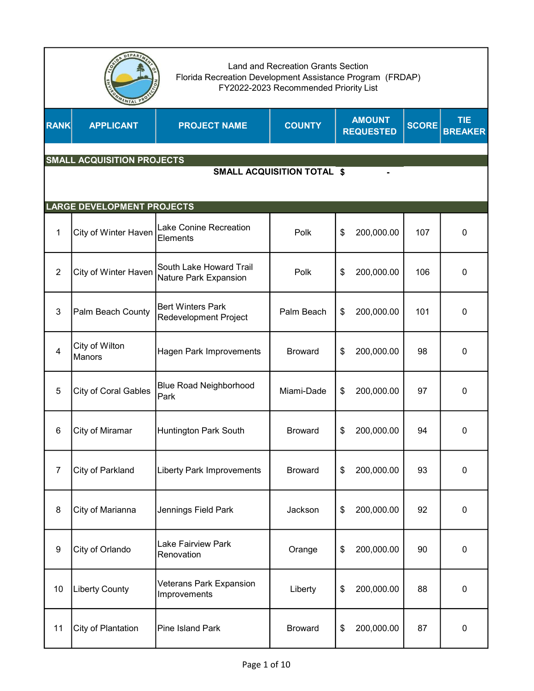|                  | DEPAR<br><b>NTAL</b>              | <b>Land and Recreation Grants Section</b><br>Florida Recreation Development Assistance Program (FRDAP)<br>FY2022-2023 Recommended Priority List |                |                                   |              |                              |  |  |  |  |
|------------------|-----------------------------------|-------------------------------------------------------------------------------------------------------------------------------------------------|----------------|-----------------------------------|--------------|------------------------------|--|--|--|--|
| <b>RANK</b>      | <b>APPLICANT</b>                  | <b>PROJECT NAME</b>                                                                                                                             | <b>COUNTY</b>  | <b>AMOUNT</b><br><b>REQUESTED</b> | <b>SCORE</b> | <b>TIE</b><br><b>BREAKER</b> |  |  |  |  |
|                  | <b>SMALL ACQUISITION PROJECTS</b> |                                                                                                                                                 |                |                                   |              |                              |  |  |  |  |
|                  | <b>SMALL ACQUISITION TOTAL \$</b> |                                                                                                                                                 |                |                                   |              |                              |  |  |  |  |
|                  | <b>LARGE DEVELOPMENT PROJECTS</b> |                                                                                                                                                 |                |                                   |              |                              |  |  |  |  |
| 1                | City of Winter Haven              | Lake Conine Recreation<br>Elements                                                                                                              | Polk           | \$<br>200,000.00                  | 107          | $\mathbf{0}$                 |  |  |  |  |
| $\overline{2}$   | City of Winter Haven              | South Lake Howard Trail<br>Nature Park Expansion                                                                                                | Polk           | \$<br>200,000.00                  | 106          | 0                            |  |  |  |  |
| 3                | Palm Beach County                 | <b>Bert Winters Park</b><br>Redevelopment Project                                                                                               | Palm Beach     | \$<br>200,000.00                  | 101          | 0                            |  |  |  |  |
| $\overline{4}$   | City of Wilton<br>Manors          | <b>Hagen Park Improvements</b>                                                                                                                  | <b>Broward</b> | 200,000.00<br>\$                  | 98           | 0                            |  |  |  |  |
| 5                | City of Coral Gables              | <b>Blue Road Neighborhood</b><br>Park                                                                                                           | Miami-Dade     | 200,000.00<br>\$                  | 97           | 0                            |  |  |  |  |
| 6                | City of Miramar                   | Huntington Park South                                                                                                                           | <b>Broward</b> | 200,000.00<br>\$                  | 94           | 0                            |  |  |  |  |
| $\overline{7}$   | City of Parkland                  | <b>Liberty Park Improvements</b>                                                                                                                | <b>Broward</b> | 200,000.00<br>\$                  | 93           | 0                            |  |  |  |  |
| 8                | City of Marianna                  | Jennings Field Park                                                                                                                             | Jackson        | \$<br>200,000.00                  | 92           | $\mathbf 0$                  |  |  |  |  |
| $\boldsymbol{9}$ | City of Orlando                   | <b>Lake Fairview Park</b><br>Renovation                                                                                                         | Orange         | 200,000.00<br>\$                  | 90           | $\pmb{0}$                    |  |  |  |  |
| 10               | <b>Liberty County</b>             | Veterans Park Expansion<br>Improvements                                                                                                         | Liberty        | 200,000.00<br>\$                  | 88           | $\mathbf 0$                  |  |  |  |  |
| 11               | City of Plantation                | Pine Island Park                                                                                                                                | <b>Broward</b> | \$<br>200,000.00                  | 87           | $\pmb{0}$                    |  |  |  |  |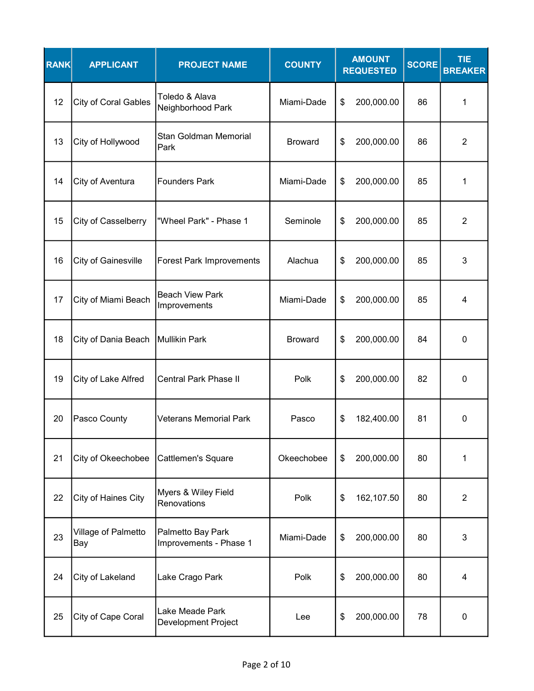| <b>RANK</b> | <b>APPLICANT</b>           | <b>PROJECT NAME</b>                           | <b>COUNTY</b>  | <b>AMOUNT</b><br><b>REQUESTED</b> | <b>SCORE</b> | <b>TIE</b><br><b>BREAKER</b> |
|-------------|----------------------------|-----------------------------------------------|----------------|-----------------------------------|--------------|------------------------------|
| 12          | City of Coral Gables       | Toledo & Alava<br>Neighborhood Park           | Miami-Dade     | 200,000.00<br>\$                  | 86           | 1                            |
| 13          | City of Hollywood          | <b>Stan Goldman Memorial</b><br>Park          | <b>Broward</b> | 200,000.00<br>\$                  | 86           | $\overline{2}$               |
| 14          | City of Aventura           | <b>Founders Park</b>                          | Miami-Dade     | 200,000.00<br>\$                  | 85           | 1                            |
| 15          | City of Casselberry        | "Wheel Park" - Phase 1                        | Seminole       | \$<br>200,000.00                  | 85           | $\overline{2}$               |
| 16          | <b>City of Gainesville</b> | <b>Forest Park Improvements</b>               | Alachua        | 200,000.00<br>\$                  | 85           | 3                            |
| 17          | City of Miami Beach        | <b>Beach View Park</b><br>Improvements        | Miami-Dade     | 200,000.00<br>\$                  | 85           | $\overline{4}$               |
| 18          | City of Dania Beach        | <b>Mullikin Park</b>                          | <b>Broward</b> | 200,000.00<br>\$                  | 84           | 0                            |
| 19          | City of Lake Alfred        | <b>Central Park Phase II</b>                  | Polk           | 200,000.00<br>\$                  | 82           | 0                            |
| 20          | Pasco County               | <b>Veterans Memorial Park</b>                 | Pasco          | \$<br>182,400.00                  | 81           | 0                            |
| 21          | City of Okeechobee         | Cattlemen's Square                            | Okeechobee     | 200,000.00<br>\$                  | 80           | 1                            |
| 22          | City of Haines City        | Myers & Wiley Field<br>Renovations            | Polk           | 162,107.50<br>\$                  | 80           | $\overline{2}$               |
| 23          | Village of Palmetto<br>Bay | Palmetto Bay Park<br>Improvements - Phase 1   | Miami-Dade     | 200,000.00<br>\$                  | 80           | 3                            |
| 24          | City of Lakeland           | Lake Crago Park                               | Polk           | 200,000.00<br>\$                  | 80           | 4                            |
| 25          | City of Cape Coral         | Lake Meade Park<br><b>Development Project</b> | Lee            | 200,000.00<br>\$                  | 78           | 0                            |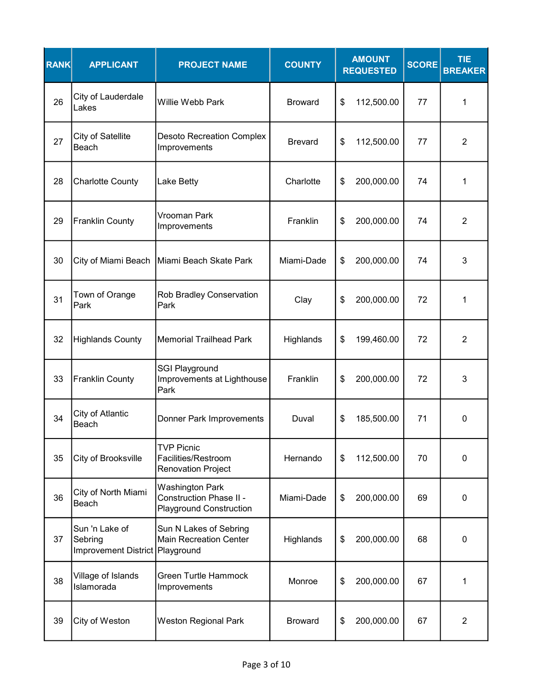| <b>RANK</b> | <b>APPLICANT</b>                                             | <b>PROJECT NAME</b>                                                                 | <b>COUNTY</b>  | <b>AMOUNT</b><br><b>REQUESTED</b> | <b>SCORE</b> | <b>TIE</b><br><b>BREAKER</b> |
|-------------|--------------------------------------------------------------|-------------------------------------------------------------------------------------|----------------|-----------------------------------|--------------|------------------------------|
| 26          | City of Lauderdale<br>Lakes                                  | Willie Webb Park                                                                    | <b>Broward</b> | \$<br>112,500.00                  | 77           | 1                            |
| 27          | City of Satellite<br>Beach                                   | <b>Desoto Recreation Complex</b><br>Improvements                                    | <b>Brevard</b> | \$<br>112,500.00                  | 77           | $\overline{2}$               |
| 28          | <b>Charlotte County</b>                                      | <b>Lake Betty</b>                                                                   | Charlotte      | \$<br>200,000.00                  | 74           | 1                            |
| 29          | <b>Franklin County</b>                                       | Vrooman Park<br>Improvements                                                        | Franklin       | \$<br>200,000.00                  | 74           | $\overline{2}$               |
| 30          | City of Miami Beach                                          | Miami Beach Skate Park                                                              | Miami-Dade     | \$<br>200,000.00                  | 74           | 3                            |
| 31          | Town of Orange<br>Park                                       | Rob Bradley Conservation<br>Park                                                    | Clay           | \$<br>200,000.00                  | 72           | 1                            |
| 32          | <b>Highlands County</b>                                      | <b>Memorial Trailhead Park</b>                                                      | Highlands      | \$<br>199,460.00                  | 72           | $\overline{2}$               |
| 33          | <b>Franklin County</b>                                       | <b>SGI Playground</b><br>Improvements at Lighthouse<br>Park                         | Franklin       | \$<br>200,000.00                  | 72           | 3                            |
| 34          | City of Atlantic<br>Beach                                    | Donner Park Improvements                                                            | Duval          | \$<br>185,500.00                  | 71           | 0                            |
| 35          | City of Brooksville                                          | <b>TVP Picnic</b><br>Facilities/Restroom<br><b>Renovation Project</b>               | Hernando       | \$<br>112,500.00                  | 70           | $\mathbf 0$                  |
| 36          | City of North Miami<br>Beach                                 | <b>Washington Park</b><br>Construction Phase II -<br><b>Playground Construction</b> | Miami-Dade     | \$<br>200,000.00                  | 69           | $\mathbf 0$                  |
| 37          | Sun 'n Lake of<br>Sebring<br>Improvement District Playground | Sun N Lakes of Sebring<br><b>Main Recreation Center</b>                             | Highlands      | \$<br>200,000.00                  | 68           | $\mathbf 0$                  |
| 38          | Village of Islands<br>Islamorada                             | <b>Green Turtle Hammock</b><br>Improvements                                         | Monroe         | \$<br>200,000.00                  | 67           | 1                            |
| 39          | City of Weston                                               | <b>Weston Regional Park</b>                                                         | <b>Broward</b> | \$<br>200,000.00                  | 67           | $\overline{2}$               |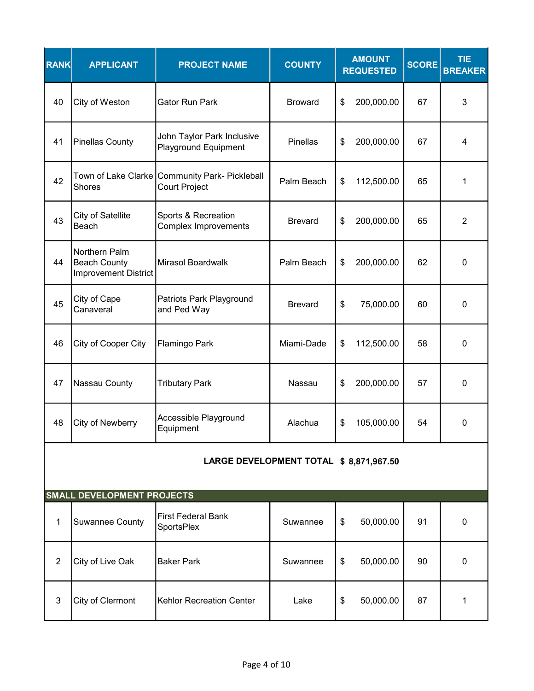| <b>RANK</b>    | <b>APPLICANT</b>                                             | <b>PROJECT NAME</b>                                             | <b>COUNTY</b>  |    | <b>AMOUNT</b><br><b>REQUESTED</b> | <b>SCORE</b> | <b>TIE</b><br><b>BREAKER</b> |  |
|----------------|--------------------------------------------------------------|-----------------------------------------------------------------|----------------|----|-----------------------------------|--------------|------------------------------|--|
| 40             | City of Weston                                               | Gator Run Park                                                  | <b>Broward</b> | \$ | 200,000.00                        | 67           | 3                            |  |
| 41             | <b>Pinellas County</b>                                       | John Taylor Park Inclusive<br><b>Playground Equipment</b>       | Pinellas       | \$ | 200,000.00                        | 67           | 4                            |  |
| 42             | <b>Shores</b>                                                | Town of Lake Clarke Community Park- Pickleball<br>Court Project | Palm Beach     | \$ | 112,500.00                        | 65           | 1                            |  |
| 43             | City of Satellite<br>Beach                                   | Sports & Recreation<br><b>Complex Improvements</b>              | <b>Brevard</b> | \$ | 200,000.00                        | 65           | $\overline{2}$               |  |
| 44             | Northern Palm<br><b>Beach County</b><br>Improvement District | <b>Mirasol Boardwalk</b>                                        | Palm Beach     | \$ | 200,000.00                        | 62           | $\mathbf 0$                  |  |
| 45             | City of Cape<br>Canaveral                                    | Patriots Park Playground<br>and Ped Way                         | <b>Brevard</b> | \$ | 75,000.00                         | 60           | 0                            |  |
| 46             | City of Cooper City                                          | Flamingo Park                                                   | Miami-Dade     | \$ | 112,500.00                        | 58           | 0                            |  |
| 47             | Nassau County                                                | <b>Tributary Park</b>                                           | Nassau         | \$ | 200,000.00                        | 57           | 0                            |  |
| 48             | City of Newberry                                             | Accessible Playground<br>Equipment                              | Alachua        | \$ | 105,000.00                        | 54           | 0                            |  |
|                | LARGE DEVELOPMENT TOTAL \$8,871,967.50                       |                                                                 |                |    |                                   |              |                              |  |
|                | <b>SMALL DEVELOPMENT PROJECTS</b>                            |                                                                 |                |    |                                   |              |                              |  |
| $\mathbf 1$    | Suwannee County                                              | <b>First Federal Bank</b><br>SportsPlex                         | Suwannee       | \$ | 50,000.00                         | 91           | 0                            |  |
| $\overline{2}$ | City of Live Oak                                             | <b>Baker Park</b>                                               | Suwannee       | \$ | 50,000.00                         | 90           | 0                            |  |
| 3              | City of Clermont                                             | Kehlor Recreation Center                                        | Lake           | \$ | 50,000.00                         | 87           | 1                            |  |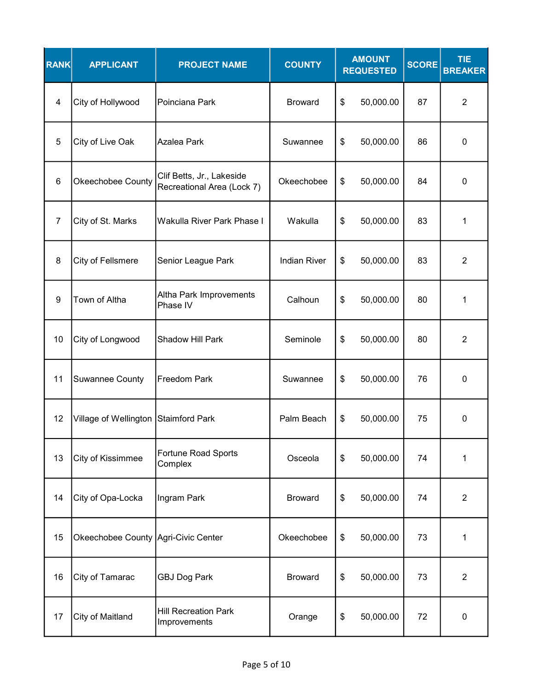| <b>RANK</b>    | <b>APPLICANT</b>                    | <b>PROJECT NAME</b>                                     | <b>COUNTY</b>       | <b>AMOUNT</b><br><b>REQUESTED</b> | <b>SCORE</b> | <b>TIE</b><br><b>BREAKER</b> |
|----------------|-------------------------------------|---------------------------------------------------------|---------------------|-----------------------------------|--------------|------------------------------|
| $\overline{4}$ | City of Hollywood                   | Poinciana Park                                          | <b>Broward</b>      | \$<br>50,000.00                   | 87           | 2                            |
| 5              | City of Live Oak                    | Azalea Park                                             | Suwannee            | \$<br>50,000.00                   | 86           | $\pmb{0}$                    |
| 6              | <b>Okeechobee County</b>            | Clif Betts, Jr., Lakeside<br>Recreational Area (Lock 7) | Okeechobee          | \$<br>50,000.00                   | 84           | 0                            |
| $\overline{7}$ | City of St. Marks                   | Wakulla River Park Phase I                              | Wakulla             | \$<br>50,000.00                   | 83           | 1                            |
| 8              | City of Fellsmere                   | Senior League Park                                      | <b>Indian River</b> | \$<br>50,000.00                   | 83           | $\overline{2}$               |
| 9              | Town of Altha                       | Altha Park Improvements<br>Phase IV                     | Calhoun             | \$<br>50,000.00                   | 80           | 1                            |
| 10             | City of Longwood                    | Shadow Hill Park                                        | Seminole            | \$<br>50,000.00                   | 80           | $\overline{2}$               |
| 11             | <b>Suwannee County</b>              | <b>Freedom Park</b>                                     | Suwannee            | \$<br>50,000.00                   | 76           | 0                            |
| 12             | Village of Wellington               | Staimford Park                                          | Palm Beach          | \$<br>50,000.00                   | 75           | $\pmb{0}$                    |
| 13             | City of Kissimmee                   | Fortune Road Sports<br>Complex                          | Osceola             | \$<br>50,000.00                   | 74           | 1                            |
| 14             | City of Opa-Locka                   | Ingram Park                                             | <b>Broward</b>      | \$<br>50,000.00                   | 74           | $\overline{2}$               |
| 15             | Okeechobee County Agri-Civic Center |                                                         | Okeechobee          | \$<br>50,000.00                   | 73           | 1                            |
| 16             | City of Tamarac                     | <b>GBJ Dog Park</b>                                     | <b>Broward</b>      | \$<br>50,000.00                   | 73           | $\overline{2}$               |
| 17             | City of Maitland                    | <b>Hill Recreation Park</b><br>Improvements             | Orange              | \$<br>50,000.00                   | 72           | $\pmb{0}$                    |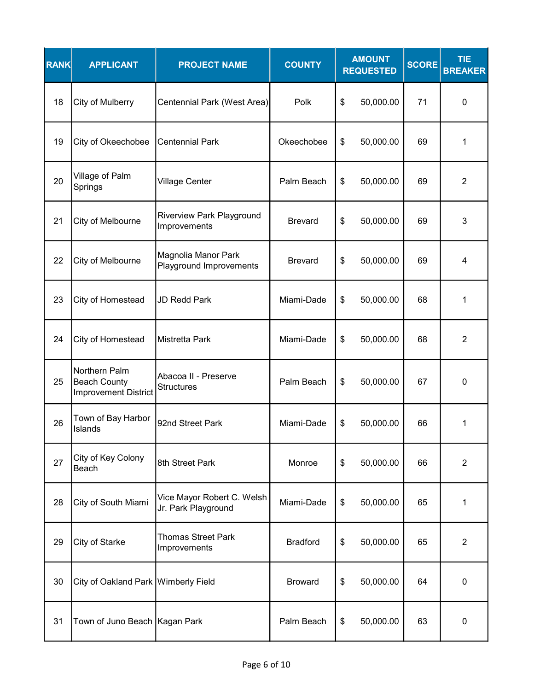| <b>RANK</b> | <b>APPLICANT</b>                                                    | <b>PROJECT NAME</b>                               | <b>COUNTY</b>   | <b>AMOUNT</b><br><b>REQUESTED</b> | <b>SCORE</b> | <b>TIE</b><br><b>BREAKER</b> |
|-------------|---------------------------------------------------------------------|---------------------------------------------------|-----------------|-----------------------------------|--------------|------------------------------|
| 18          | City of Mulberry                                                    | Centennial Park (West Area)                       | Polk            | \$<br>50,000.00                   | 71           | 0                            |
| 19          | City of Okeechobee                                                  | <b>Centennial Park</b>                            | Okeechobee      | \$<br>50,000.00                   | 69           | 1                            |
| 20          | Village of Palm<br>Springs                                          | Village Center                                    | Palm Beach      | \$<br>50,000.00                   | 69           | $\overline{2}$               |
| 21          | City of Melbourne                                                   | <b>Riverview Park Playground</b><br>Improvements  | <b>Brevard</b>  | \$<br>50,000.00                   | 69           | 3                            |
| 22          | City of Melbourne                                                   | Magnolia Manor Park<br>Playground Improvements    | <b>Brevard</b>  | \$<br>50,000.00                   | 69           | $\overline{4}$               |
| 23          | City of Homestead                                                   | <b>JD Redd Park</b>                               | Miami-Dade      | \$<br>50,000.00                   | 68           | 1                            |
| 24          | City of Homestead                                                   | Mistretta Park                                    | Miami-Dade      | \$<br>50,000.00                   | 68           | 2                            |
| 25          | Northern Palm<br><b>Beach County</b><br><b>Improvement District</b> | Abacoa II - Preserve<br><b>Structures</b>         | Palm Beach      | \$<br>50,000.00                   | 67           | 0                            |
| 26          | Town of Bay Harbor<br>Islands                                       | 92nd Street Park                                  | Miami-Dade      | \$<br>50,000.00                   | 66           | 1                            |
| 27          | City of Key Colony<br>Beach                                         | 8th Street Park                                   | Monroe          | \$<br>50,000.00                   | 66           | $\overline{2}$               |
| 28          | City of South Miami                                                 | Vice Mayor Robert C. Welsh<br>Jr. Park Playground | Miami-Dade      | \$<br>50,000.00                   | 65           | 1                            |
| 29          | City of Starke                                                      | <b>Thomas Street Park</b><br>Improvements         | <b>Bradford</b> | \$<br>50,000.00                   | 65           | $\overline{2}$               |
| 30          | City of Oakland Park   Wimberly Field                               |                                                   | <b>Broward</b>  | \$<br>50,000.00                   | 64           | $\pmb{0}$                    |
| 31          | Town of Juno Beach Kagan Park                                       |                                                   | Palm Beach      | \$<br>50,000.00                   | 63           | $\pmb{0}$                    |